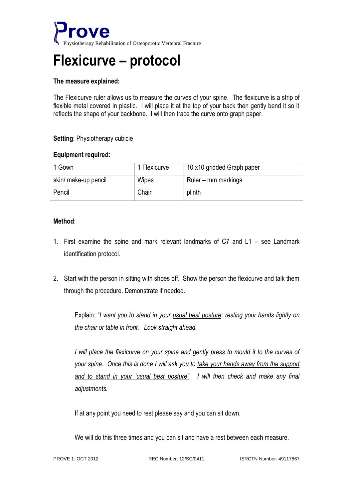

# **Flexicurve – protocol**

## **The measure explained:**

The Flexicurve ruler allows us to measure the curves of your spine. The flexicurve is a strip of flexible metal covered in plastic. I will place it at the top of your back then gently bend it so it reflects the shape of your backbone. I will then trace the curve onto graph paper.

## **Setting**: Physiotherapy cubicle

### **Equipment required:**

| Gown                 | 1 Flexicurve | 10 x10 gridded Graph paper |
|----------------------|--------------|----------------------------|
| skin/ make-up pencil | Wipes        | Ruler – mm markings        |
| Pencil               | Chair        | plinth                     |

## **Method**:

- 1. First examine the spine and mark relevant landmarks of C7 and L1 see Landmark identification protocol.
- 2. Start with the person in sitting with shoes off. Show the person the flexicurve and talk them through the procedure. Demonstrate if needed.

Explain: "*I want you to stand in your usual best posture; resting your hands lightly on the chair or table in front. Look straight ahead.*

*I will place the flexicurve on your spine and gently press to mould it to the curves of your spine. Once this is done I will ask you to take your hands away from the support and to stand in your 'usual best posture". I will then check and make any final adjustments.* 

If at any point you need to rest please say and you can sit down.

We will do this three times and you can sit and have a rest between each measure.